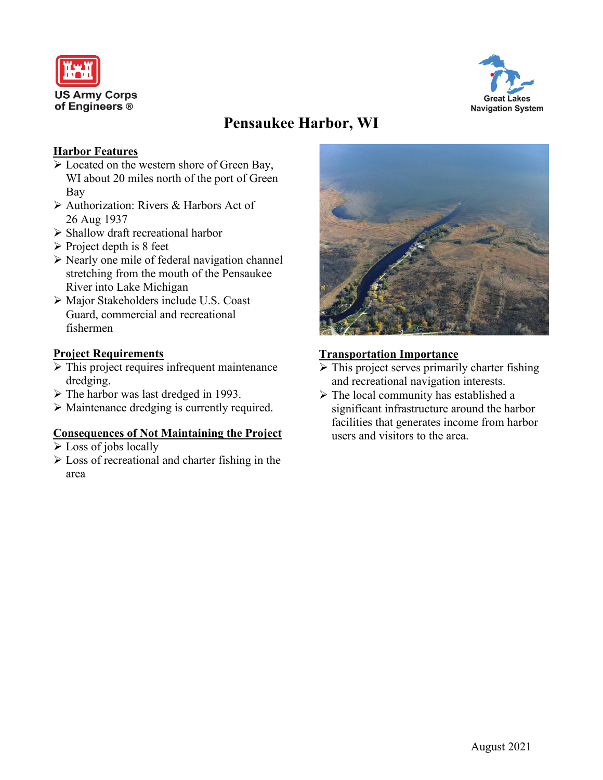



# **Pensaukee Harbor, WI**

# **Harbor Features**

- Located on the western shore of Green Bay, WI about 20 miles north of the port of Green Bay
- Authorization: Rivers & Harbors Act of 26 Aug 1937
- $\triangleright$  Shallow draft recreational harbor
- $\triangleright$  Project depth is 8 feet
- $\triangleright$  Nearly one mile of federal navigation channel stretching from the mouth of the Pensaukee River into Lake Michigan
- Major Stakeholders include U.S. Coast Guard, commercial and recreational fishermen

# **Project Requirements**

- $\triangleright$  This project requires infrequent maintenance dredging.
- > The harbor was last dredged in 1993.
- Maintenance dredging is currently required.

#### **Consequences of Not Maintaining the Project**

- $\triangleright$  Loss of jobs locally
- $\triangleright$  Loss of recreational and charter fishing in the area



# **Transportation Importance**

- $\triangleright$  This project serves primarily charter fishing and recreational navigation interests.
- $\triangleright$  The local community has established a significant infrastructure around the harbor facilities that generates income from harbor users and visitors to the area.